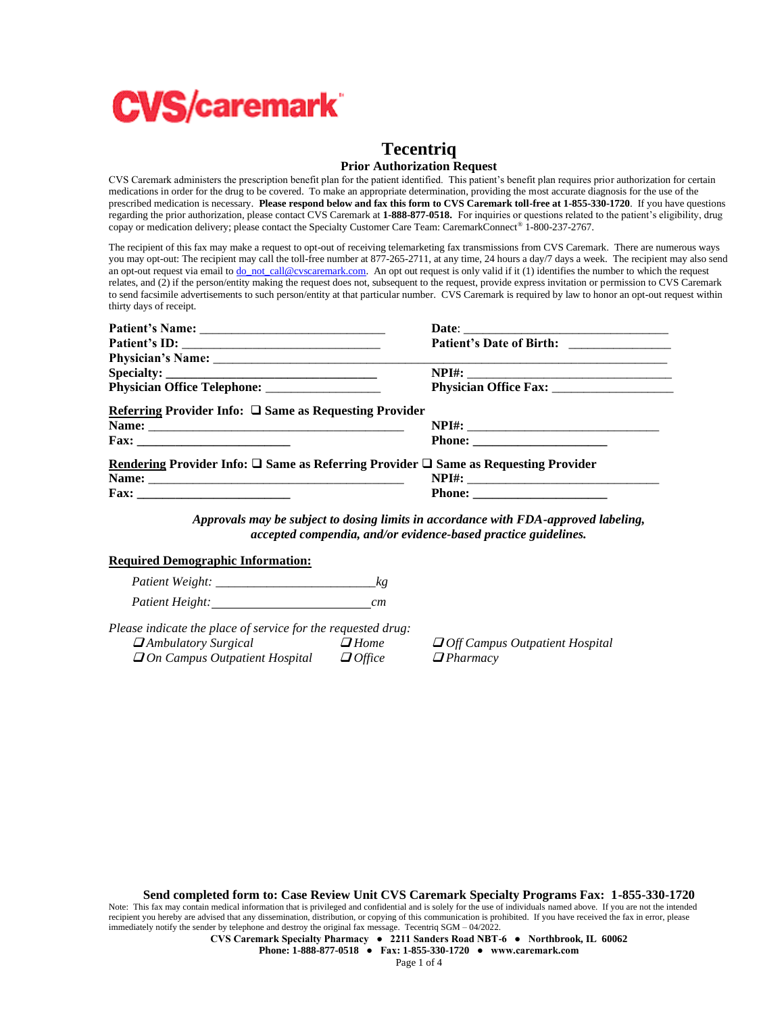

# **Tecentriq**

## **Prior Authorization Request**

CVS Caremark administers the prescription benefit plan for the patient identified. This patient's benefit plan requires prior authorization for certain medications in order for the drug to be covered. To make an appropriate determination, providing the most accurate diagnosis for the use of the prescribed medication is necessary. **Please respond below and fax this form to CVS Caremark toll-free at 1-855-330-1720**. If you have questions regarding the prior authorization, please contact CVS Caremark at **1-888-877-0518.** For inquiries or questions related to the patient's eligibility, drug copay or medication delivery; please contact the Specialty Customer Care Team: CaremarkConnect® 1-800-237-2767.

The recipient of this fax may make a request to opt-out of receiving telemarketing fax transmissions from CVS Caremark. There are numerous ways you may opt-out: The recipient may call the toll-free number at 877-265-2711, at any time, 24 hours a day/7 days a week. The recipient may also send an opt-out request via email t[o do\\_not\\_call@cvscaremark.com.](mailto:do_not_call@cvscaremark.com) An opt out request is only valid if it (1) identifies the number to which the request relates, and (2) if the person/entity making the request does not, subsequent to the request, provide express invitation or permission to CVS Caremark to send facsimile advertisements to such person/entity at that particular number. CVS Caremark is required by law to honor an opt-out request within thirty days of receipt.

|                                                                                                     | Patient's Date of Birth: _________________ |
|-----------------------------------------------------------------------------------------------------|--------------------------------------------|
|                                                                                                     |                                            |
|                                                                                                     |                                            |
|                                                                                                     |                                            |
| Referring Provider Info: $\square$ Same as Requesting Provider                                      |                                            |
|                                                                                                     |                                            |
| $\text{Fax:}\_$                                                                                     |                                            |
| Rendering Provider Info: $\square$ Same as Referring Provider $\square$ Same as Requesting Provider |                                            |
|                                                                                                     |                                            |
|                                                                                                     |                                            |

*Approvals may be subject to dosing limits in accordance with FDA-approved labeling, accepted compendia, and/or evidence-based practice guidelines.*

## **Required Demographic Information:**

*Patient Weight:* \_\_\_\_\_\_\_\_\_\_\_\_\_\_\_\_\_\_\_\_\_\_\_\_\_*kg Patient Height: cm*

*Please indicate the place of service for the requested drug:* ❑ *Ambulatory Surgical* ❑ *Home* ❑ *Off Campus Outpatient Hospital*  ❑ *On Campus Outpatient Hospital* ❑ *Office* ❑ *Pharmacy*

**Send completed form to: Case Review Unit CVS Caremark Specialty Programs Fax: 1-855-330-1720**

Note: This fax may contain medical information that is privileged and confidential and is solely for the use of individuals named above. If you are not the intended recipient you hereby are advised that any dissemination, distribution, or copying of this communication is prohibited. If you have received the fax in error, please immediately notify the sender by telephone and destroy the original fax message. Tecentriq SGM – 04/2022.

**CVS Caremark Specialty Pharmacy ● 2211 Sanders Road NBT-6 ● Northbrook, IL 60062**

**Phone: 1-888-877-0518 ● Fax: 1-855-330-1720 ● www.caremark.com**

Page 1 of 4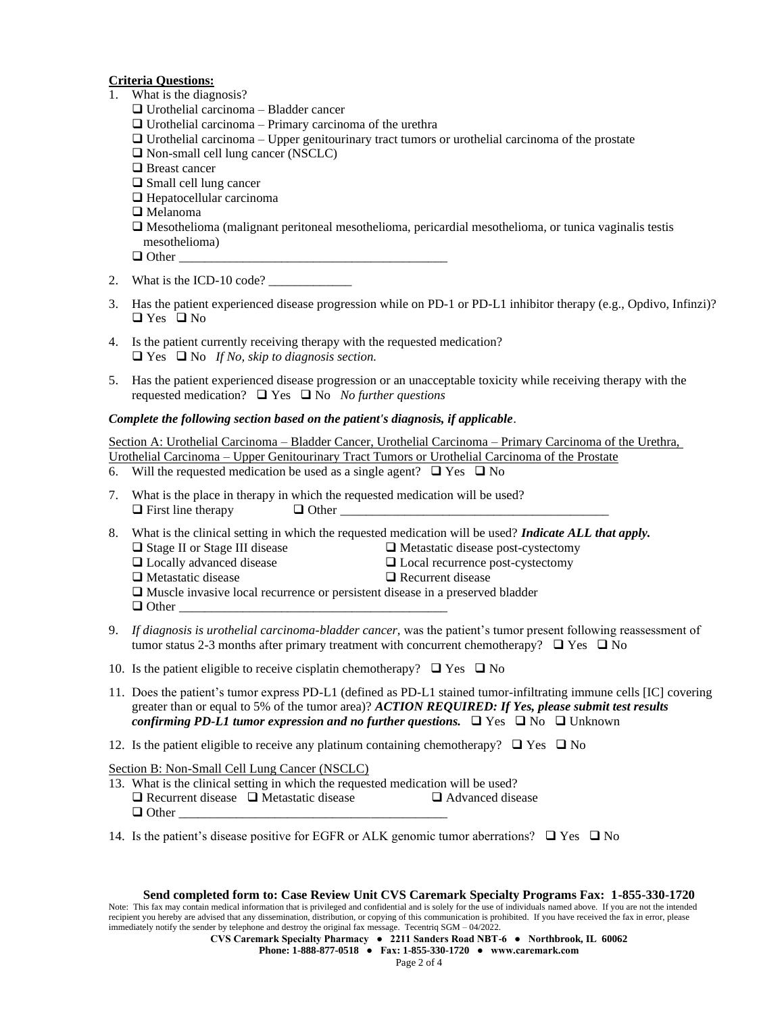# **Criteria Questions:**

- 1. What is the diagnosis?
	- ❑ Urothelial carcinoma Bladder cancer
	- $\Box$  Urothelial carcinoma Primary carcinoma of the urethra
	- $\Box$  Urothelial carcinoma Upper genitourinary tract tumors or urothelial carcinoma of the prostate
	- ❑ Non-small cell lung cancer (NSCLC)
	- ❑ Breast cancer
	- ❑ Small cell lung cancer
	- ❑ Hepatocellular carcinoma
	- ❑ Melanoma
	- ❑ Mesothelioma (malignant peritoneal mesothelioma, pericardial mesothelioma, or tunica vaginalis testis mesothelioma)
	- $\Box$  Other
- 2. What is the ICD-10 code?  $\qquad \qquad$
- 3. Has the patient experienced disease progression while on PD-1 or PD-L1 inhibitor therapy (e.g., Opdivo, Infinzi)? ❑ Yes ❑ No
- 4. Is the patient currently receiving therapy with the requested medication? ❑ Yes ❑ No *If No, skip to diagnosis section.*
- 5. Has the patient experienced disease progression or an unacceptable toxicity while receiving therapy with the requested medication? ❑ Yes ❑ No *No further questions*

## *Complete the following section based on the patient's diagnosis, if applicable*.

Section A: Urothelial Carcinoma – Bladder Cancer, Urothelial Carcinoma – Primary Carcinoma of the Urethra, Urothelial Carcinoma – Upper Genitourinary Tract Tumors or Urothelial Carcinoma of the Prostate

- 6. Will the requested medication be used as a single agent?  $\Box$  Yes  $\Box$  No
- 7. What is the place in therapy in which the requested medication will be used?  $\Box$  First line therapy  $\Box$  Other
- 8. What is the clinical setting in which the requested medication will be used? *Indicate ALL that apply.*
	- ❑ Stage II or Stage III disease ❑ Metastatic disease post-cystectomy
	- ❑ Locally advanced disease ❑ Local recurrence post-cystectomy
	-
- 
- ❑ Metastatic disease ❑ Recurrent disease
- ❑ Muscle invasive local recurrence or persistent disease in a preserved bladder
- $\Box$  Other
- 9. *If diagnosis is urothelial carcinoma-bladder cancer,* was the patient's tumor present following reassessment of tumor status 2-3 months after primary treatment with concurrent chemotherapy?  $\Box$  Yes  $\Box$  No
- 10. Is the patient eligible to receive cisplatin chemotherapy?  $\Box$  Yes  $\Box$  No
- 11. Does the patient's tumor express PD-L1 (defined as PD-L1 stained tumor-infiltrating immune cells [IC] covering greater than or equal to 5% of the tumor area)? *ACTION REQUIRED: If Yes, please submit test results confirming PD-L1 tumor expression and no further questions.* ❑ Yes ❑ No ❑ Unknown
- 12. Is the patient eligible to receive any platinum containing chemotherapy?  $\Box$  Yes  $\Box$  No

Section B: Non-Small Cell Lung Cancer (NSCLC)

- 13. What is the clinical setting in which the requested medication will be used? ❑ Recurrent disease ❑ Metastatic disease ❑ Advanced disease  $\Box$  Other
- 14. Is the patient's disease positive for EGFR or ALK genomic tumor aberrations?  $\Box$  Yes  $\Box$  No

## **Send completed form to: Case Review Unit CVS Caremark Specialty Programs Fax: 1-855-330-1720**

Note: This fax may contain medical information that is privileged and confidential and is solely for the use of individuals named above. If you are not the intended recipient you hereby are advised that any dissemination, distribution, or copying of this communication is prohibited. If you have received the fax in error, please immediately notify the sender by telephone and destroy the original fax message. Tecentriq SGM – 04/2022.

**CVS Caremark Specialty Pharmacy ● 2211 Sanders Road NBT-6 ● Northbrook, IL 60062**

**Phone: 1-888-877-0518 ● Fax: 1-855-330-1720 ● www.caremark.com**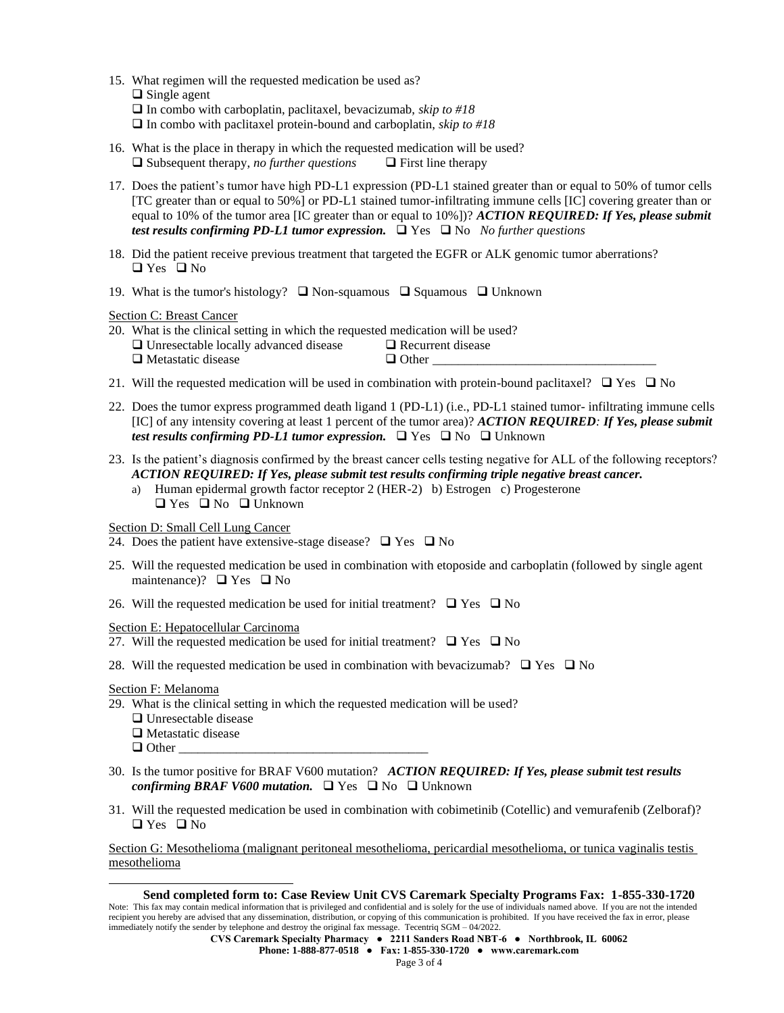- 15. What regimen will the requested medication be used as?
	- ❑ Single agent
	- ❑ In combo with carboplatin, paclitaxel, bevacizumab, *skip to #18*
	- ❑ In combo with paclitaxel protein-bound and carboplatin, *skip to #18*
- 16. What is the place in therapy in which the requested medication will be used? ❑ Subsequent therapy, *no further questions* ❑ First line therapy
- 17. Does the patient's tumor have high PD-L1 expression (PD-L1 stained greater than or equal to 50% of tumor cells [TC greater than or equal to 50%] or PD-L1 stained tumor-infiltrating immune cells [IC] covering greater than or equal to 10% of the tumor area [IC greater than or equal to 10%])? *ACTION REQUIRED: If Yes, please submit test results confirming PD-L1 tumor expression.* ❑ Yes ❑ No *No further questions*
- 18. Did the patient receive previous treatment that targeted the EGFR or ALK genomic tumor aberrations? ❑ Yes ❑ No
- 19. What is the tumor's histology? ❑ Non-squamous ❑ Squamous ❑ Unknown

Section C: Breast Cancer

| 20. What is the clinical setting in which the requested medication will be used? |                          |
|----------------------------------------------------------------------------------|--------------------------|
| $\Box$ Unresectable locally advanced disease                                     | $\Box$ Recurrent disease |
| $\Box$ Metastatic disease                                                        | $\Box$ Other             |

- 21. Will the requested medication will be used in combination with protein-bound paclitaxel?  $\Box$  Yes  $\Box$  No
- 22. Does the tumor express programmed death ligand 1 (PD-L1) (i.e., PD-L1 stained tumor- infiltrating immune cells [IC] of any intensity covering at least 1 percent of the tumor area)? *ACTION REQUIRED: If Yes, please submit test results confirming PD-L1 tumor expression.* ❑ Yes ❑ No ❑ Unknown
- 23. Is the patient's diagnosis confirmed by the breast cancer cells testing negative for ALL of the following receptors? *ACTION REQUIRED: If Yes, please submit test results confirming triple negative breast cancer.*
	- a) Human epidermal growth factor receptor 2 (HER-2) b) Estrogen c) Progesterone ❑ Yes ❑ No ❑ Unknown

Section D: Small Cell Lung Cancer

24. Does the patient have extensive-stage disease?  $\Box$  Yes  $\Box$  No

- 25. Will the requested medication be used in combination with etoposide and carboplatin (followed by single agent maintenance)? ❑ Yes ❑ No
- 26. Will the requested medication be used for initial treatment?  $\Box$  Yes  $\Box$  No

Section E: Hepatocellular Carcinoma

- 27. Will the requested medication be used for initial treatment?  $\Box$  Yes  $\Box$  No
- 28. Will the requested medication be used in combination with bevacizumab?  $\Box$  Yes  $\Box$  No

Section F: Melanoma

- 29. What is the clinical setting in which the requested medication will be used?
	- ❑ Unresectable disease
	- ❑ Metastatic disease
	- $\Box$  Other
- 30. Is the tumor positive for BRAF V600 mutation? *ACTION REQUIRED: If Yes, please submit test results confirming BRAF V600 mutation.*❑ Yes ❑ No ❑ Unknown
- 31. Will the requested medication be used in combination with cobimetinib (Cotellic) and vemurafenib (Zelboraf)? ❑ Yes ❑ No

Section G: Mesothelioma (malignant peritoneal mesothelioma, pericardial mesothelioma, or tunica vaginalis testis mesothelioma

## **Send completed form to: Case Review Unit CVS Caremark Specialty Programs Fax: 1-855-330-1720**

Note: This fax may contain medical information that is privileged and confidential and is solely for the use of individuals named above. If you are not the intended recipient you hereby are advised that any dissemination, distribution, or copying of this communication is prohibited. If you have received the fax in error, please immediately notify the sender by telephone and destroy the original fax message. Tecentriq SGM – 04/2022.

**CVS Caremark Specialty Pharmacy ● 2211 Sanders Road NBT-6 ● Northbrook, IL 60062**

**Phone: 1-888-877-0518 ● Fax: 1-855-330-1720 ● www.caremark.com**